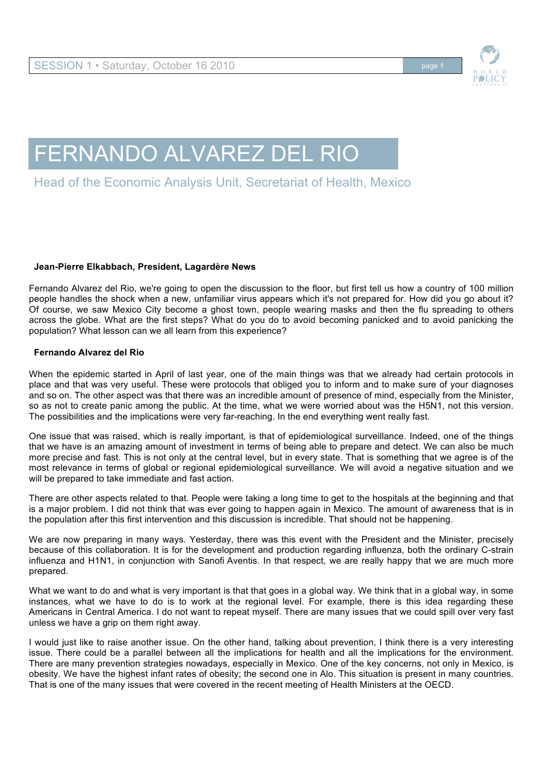

## FERNANDO ALVAREZ DEL RIO

## Head of the Economic Analysis Unit, Secretariat of Health, Mexico

## **Jean-Pierre Elkabbach, President, Lagardère News**

Fernando Alvarez del Rio, we're going to open the discussion to the floor, but first tell us how a country of 100 million people handles the shock when a new, unfamiliar virus appears which it's not prepared for. How did you go about it? Of course, we saw Mexico City become a ghost town, people wearing masks and then the flu spreading to others across the globe. What are the first steps? What do you do to avoid becoming panicked and to avoid panicking the population? What lesson can we all learn from this experience?

## **Fernando Alvarez del Rio**

When the epidemic started in April of last year, one of the main things was that we already had certain protocols in place and that was very useful. These were protocols that obliged you to inform and to make sure of your diagnoses and so on. The other aspect was that there was an incredible amount of presence of mind, especially from the Minister, so as not to create panic among the public. At the time, what we were worried about was the H5N1, not this version. The possibilities and the implications were very far-reaching. In the end everything went really fast.

One issue that was raised, which is really important, is that of epidemiological surveillance. Indeed, one of the things that we have is an amazing amount of investment in terms of being able to prepare and detect. We can also be much more precise and fast. This is not only at the central level, but in every state. That is something that we agree is of the most relevance in terms of global or regional epidemiological surveillance. We will avoid a negative situation and we will be prepared to take immediate and fast action.

There are other aspects related to that. People were taking a long time to get to the hospitals at the beginning and that is a major problem. I did not think that was ever going to happen again in Mexico. The amount of awareness that is in the population after this first intervention and this discussion is incredible. That should not be happening.

We are now preparing in many ways. Yesterday, there was this event with the President and the Minister, precisely because of this collaboration. It is for the development and production regarding influenza, both the ordinary C-strain influenza and H1N1, in conjunction with Sanofi Aventis. In that respect, we are really happy that we are much more prepared.

What we want to do and what is very important is that that goes in a global way. We think that in a global way, in some instances, what we have to do is to work at the regional level. For example, there is this idea regarding these Americans in Central America. I do not want to repeat myself. There are many issues that we could spill over very fast unless we have a grip on them right away.

I would just like to raise another issue. On the other hand, talking about prevention, I think there is a very interesting issue. There could be a parallel between all the implications for health and all the implications for the environment. There are many prevention strategies nowadays, especially in Mexico. One of the key concerns, not only in Mexico, is obesity. We have the highest infant rates of obesity; the second one in Alo. This situation is present in many countries. That is one of the many issues that were covered in the recent meeting of Health Ministers at the OECD.